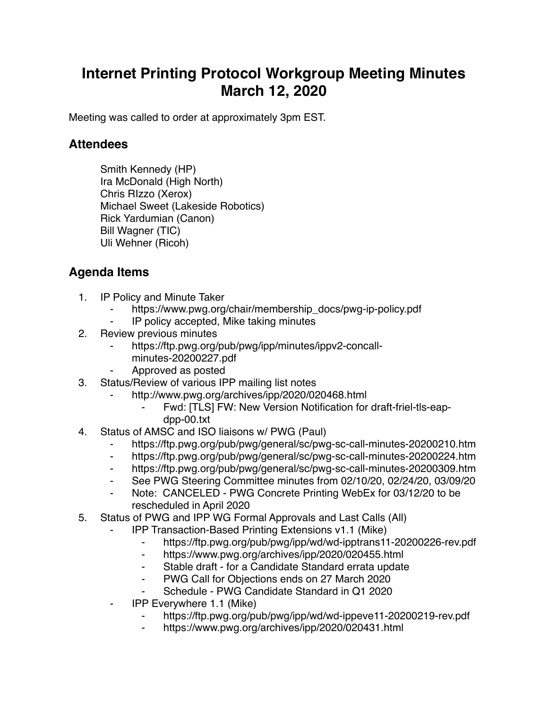## **Internet Printing Protocol Workgroup Meeting Minutes March 12, 2020**

Meeting was called to order at approximately 3pm EST.

## **Attendees**

Smith Kennedy (HP) Ira McDonald (High North) Chris RIzzo (Xerox) Michael Sweet (Lakeside Robotics) Rick Yardumian (Canon) Bill Wagner (TIC) Uli Wehner (Ricoh)

## **Agenda Items**

- 1. IP Policy and Minute Taker
	- https://www.pwg.org/chair/membership\_docs/pwg-ip-policy.pdf
	- ⁃ IP policy accepted, Mike taking minutes
- 2. Review previous minutes
	- https://ftp.pwg.org/pub/pwg/ipp/minutes/ippv2-concallminutes-20200227.pdf
	- ⁃ Approved as posted
- 3. Status/Review of various IPP mailing list notes
	- http://www.pwg.org/archives/ipp/2020/020468.html
		- Fwd: [TLS] FW: New Version Notification for draft-friel-tls-eapdpp-00.txt
- 4. Status of AMSC and ISO liaisons w/ PWG (Paul)
	- https://ftp.pwg.org/pub/pwg/general/sc/pwg-sc-call-minutes-20200210.htm
	- ⁃ https://ftp.pwg.org/pub/pwg/general/sc/pwg-sc-call-minutes-20200224.htm
	- ⁃ https://ftp.pwg.org/pub/pwg/general/sc/pwg-sc-call-minutes-20200309.htm
	- See PWG Steering Committee minutes from 02/10/20, 02/24/20, 03/09/20
	- ⁃ Note: CANCELED PWG Concrete Printing WebEx for 03/12/20 to be rescheduled in April 2020
- 5. Status of PWG and IPP WG Formal Approvals and Last Calls (All)
	- ⁃ IPP Transaction-Based Printing Extensions v1.1 (Mike)
		- ⁃ https://ftp.pwg.org/pub/pwg/ipp/wd/wd-ipptrans11-20200226-rev.pdf
		- ⁃ https://www.pwg.org/archives/ipp/2020/020455.html
		- Stable draft for a Candidate Standard errata update
		- ⁃ PWG Call for Objections ends on 27 March 2020
		- Schedule PWG Candidate Standard in Q1 2020
	- ⁃ IPP Everywhere 1.1 (Mike)
		- https://ftp.pwg.org/pub/pwg/ipp/wd/wd-ippeve11-20200219-rev.pdf
		- https://www.pwg.org/archives/ipp/2020/020431.html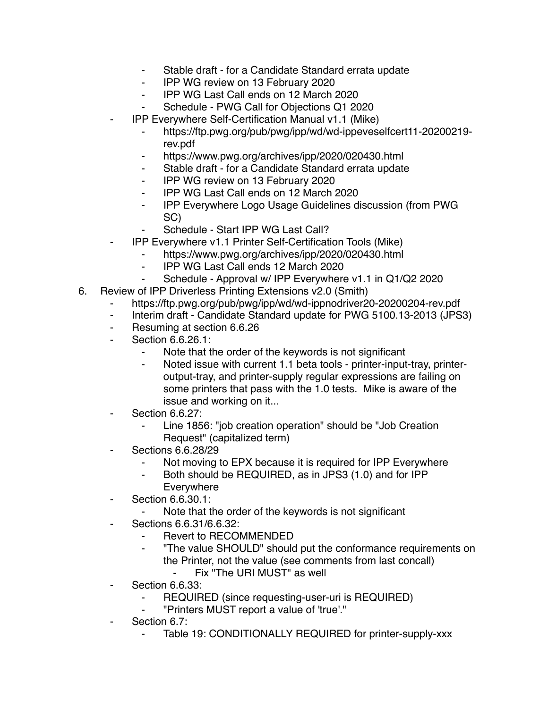- ⁃ Stable draft for a Candidate Standard errata update
- ⁃ IPP WG review on 13 February 2020
- ⁃ IPP WG Last Call ends on 12 March 2020
- Schedule PWG Call for Objections Q1 2020
- ⁃ IPP Everywhere Self-Certification Manual v1.1 (Mike)
	- ⁃ https://ftp.pwg.org/pub/pwg/ipp/wd/wd-ippeveselfcert11-20200219 rev.pdf
	- https://www.pwg.org/archives/ipp/2020/020430.html
	- ⁃ Stable draft for a Candidate Standard errata update
	- ⁃ IPP WG review on 13 February 2020
	- ⁃ IPP WG Last Call ends on 12 March 2020
	- ⁃ IPP Everywhere Logo Usage Guidelines discussion (from PWG SC)
	- Schedule Start IPP WG Last Call?
- ⁃ IPP Everywhere v1.1 Printer Self-Certification Tools (Mike)
	- https://www.pwg.org/archives/ipp/2020/020430.html
	- ⁃ IPP WG Last Call ends 12 March 2020
	- Schedule Approval w/ IPP Everywhere v1.1 in Q1/Q2 2020
- 6. Review of IPP Driverless Printing Extensions v2.0 (Smith)
	- https://ftp.pwg.org/pub/pwg/ipp/wd/wd-ippnodriver20-20200204-rev.pdf
	- ⁃ Interim draft Candidate Standard update for PWG 5100.13-2013 (JPS3)
	- ⁃ Resuming at section 6.6.26
	- Section 6.6.26.1:
		- Note that the order of the keywords is not significant
		- ⁃ Noted issue with current 1.1 beta tools printer-input-tray, printeroutput-tray, and printer-supply regular expressions are failing on some printers that pass with the 1.0 tests. Mike is aware of the issue and working on it...
	- **Section 6.6.27:** 
		- Line 1856: "job creation operation" should be "Job Creation Request" (capitalized term)
	- ⁃ Sections 6.6.28/29
		- Not moving to EPX because it is required for IPP Everywhere
		- ⁃ Both should be REQUIRED, as in JPS3 (1.0) and for IPP Everywhere
	- ⁃ Section 6.6.30.1:
		- Note that the order of the keywords is not significant
	- ⁃ Sections 6.6.31/6.6.32:
		- Revert to RECOMMENDED
		- ⁃ "The value SHOULD" should put the conformance requirements on the Printer, not the value (see comments from last concall)
			- ⁃ Fix "The URI MUST" as well
	- **Section 6.6.33:** 
		- ⁃ REQUIRED (since requesting-user-uri is REQUIRED)
		- ⁃ "Printers MUST report a value of 'true'."
	- Section 6.7:
		- Table 19: CONDITIONALLY REQUIRED for printer-supply-xxx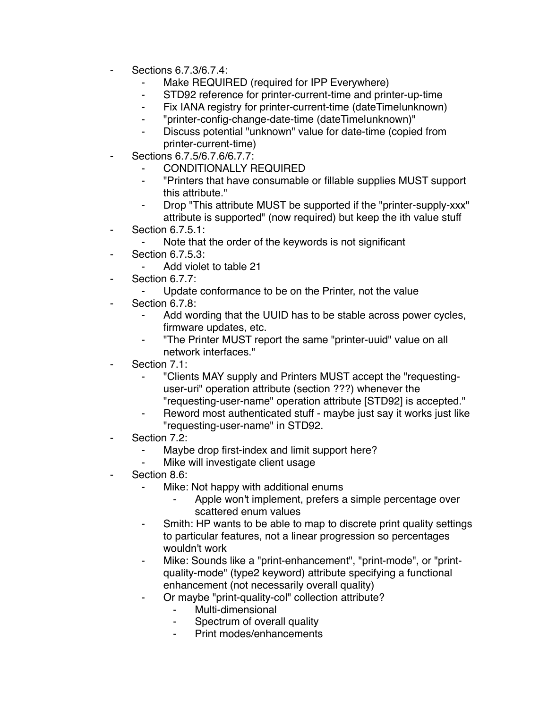- ⁃ Sections 6.7.3/6.7.4:
	- Make REQUIRED (required for IPP Everywhere)
	- ⁃ STD92 reference for printer-current-time and printer-up-time
	- ⁃ Fix IANA registry for printer-current-time (dateTime|unknown)
	- ⁃ "printer-config-change-date-time (dateTime|unknown)"
	- ⁃ Discuss potential "unknown" value for date-time (copied from printer-current-time)
- ⁃ Sections 6.7.5/6.7.6/6.7.7:
	- CONDITIONALLY REQUIRED
	- ⁃ "Printers that have consumable or fillable supplies MUST support this attribute."
	- ⁃ Drop "This attribute MUST be supported if the "printer-supply-xxx" attribute is supported" (now required) but keep the ith value stuff
- ⁃ Section 6.7.5.1:
	- Note that the order of the keywords is not significant
- **Section 6.7.5.3:** 
	- ⁃ Add violet to table 21
- ⁃ Section 6.7.7:
	- ⁃ Update conformance to be on the Printer, not the value
- ⁃ Section 6.7.8:
	- Add wording that the UUID has to be stable across power cycles, firmware updates, etc.
	- ⁃ "The Printer MUST report the same "printer-uuid" value on all network interfaces."
- Section 7.1:
	- ⁃ "Clients MAY supply and Printers MUST accept the "requestinguser-uri" operation attribute (section ???) whenever the "requesting-user-name" operation attribute [STD92] is accepted."
	- Reword most authenticated stuff maybe just say it works just like "requesting-user-name" in STD92.
- Section 7.2:
	- ⁃ Maybe drop first-index and limit support here?
	- Mike will investigate client usage
- Section 8.6:
	- ⁃ Mike: Not happy with additional enums
		- Apple won't implement, prefers a simple percentage over scattered enum values
	- ⁃ Smith: HP wants to be able to map to discrete print quality settings to particular features, not a linear progression so percentages wouldn't work
	- Mike: Sounds like a "print-enhancement", "print-mode", or "printquality-mode" (type2 keyword) attribute specifying a functional enhancement (not necessarily overall quality)
	- ⁃ Or maybe "print-quality-col" collection attribute?
		- Multi-dimensional
		- Spectrum of overall quality
		- Print modes/enhancements